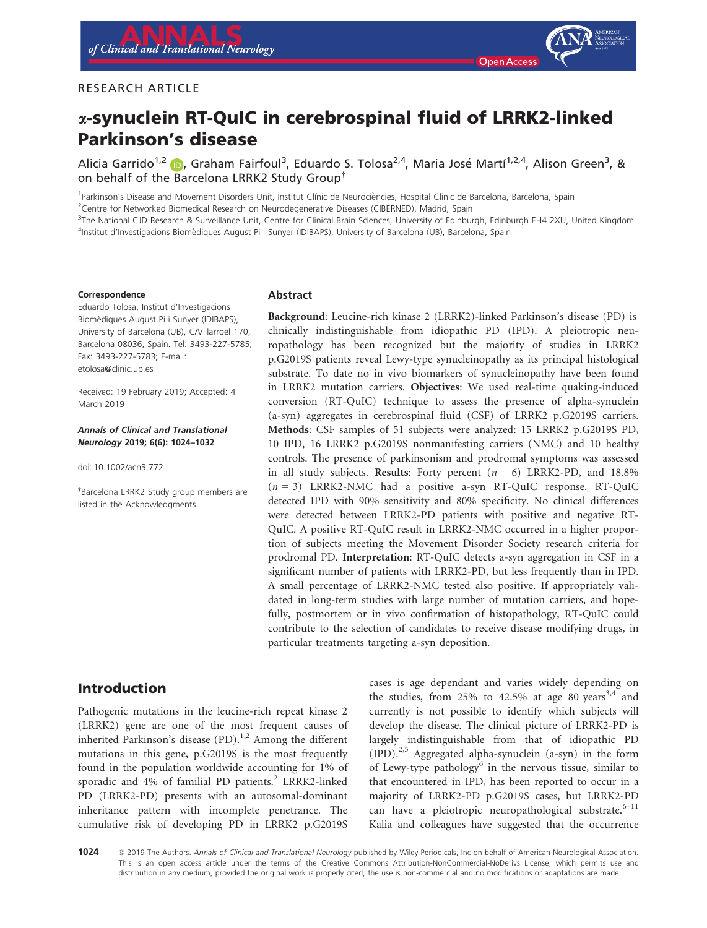## RESEARCH ARTICLE

# a-synuclein RT-QuIC in cerebrospinal fluid of LRRK2-linked Parkinson's disease

Alicia Garrido<sup>1,2</sup> (D, Graham Fairfoul<sup>3</sup>, Eduardo S. Tolosa<sup>2,4</sup>, Maria José Martí<sup>1,2,4</sup>, Alison Green<sup>3</sup>, & on behalf of th[e](http://orcid.org/0000-0003-0652-6348) [B](http://orcid.org/0000-0003-0652-6348)arcelona LRRK2 Study Group†

<sup>1</sup>Parkinson's Disease and Movement Disorders Unit, Institut Clínic de Neurociències, Hospital Clinic de Barcelona, Barcelona, Spain

<sup>2</sup>Centre for Networked Biomedical Research on Neurodegenerative Diseases (CIBERNED), Madrid, Spain

<sup>3</sup>The National CJD Research & Surveillance Unit, Centre for Clinical Brain Sciences, University of Edinburgh, Edinburgh EH4 2XU, United Kingdom 4 Institut d'Investigacions Biomediques August Pi i Sunyer (IDIBAPS), University of Barcelona (UB), Barcelona, Spain

#### Correspondence

Eduardo Tolosa, Institut d'Investigacions Biomediques August Pi i Sunyer (IDIBAPS), University of Barcelona (UB), C/Villarroel 170, Barcelona 08036, Spain. Tel: 3493-227-5785; Fax: 3493-227-5783; E-mail: [etolosa@clinic.ub.es](mailto:)

Received: 19 February 2019; Accepted: 4 March 2019

#### Annals of Clinical and Translational Neurology 2019; 6(6): 1024–1032

doi: 10.1002/acn3.772

† Barcelona LRRK2 Study group members are listed in the Acknowledgments.

#### **Abstract**

Background: Leucine-rich kinase 2 (LRRK2)-linked Parkinson's disease (PD) is clinically indistinguishable from idiopathic PD (IPD). A pleiotropic neuropathology has been recognized but the majority of studies in LRRK2 p.G2019S patients reveal Lewy-type synucleinopathy as its principal histological substrate. To date no in vivo biomarkers of synucleinopathy have been found in LRRK2 mutation carriers. Objectives: We used real-time quaking-induced conversion (RT-QuIC) technique to assess the presence of alpha-synuclein (a-syn) aggregates in cerebrospinal fluid (CSF) of LRRK2 p.G2019S carriers. Methods: CSF samples of 51 subjects were analyzed: 15 LRRK2 p.G2019S PD, 10 IPD, 16 LRRK2 p.G2019S nonmanifesting carriers (NMC) and 10 healthy controls. The presence of parkinsonism and prodromal symptoms was assessed in all study subjects. Results: Forty percent  $(n = 6)$  LRRK2-PD, and 18.8%  $(n = 3)$  LRRK2-NMC had a positive a-syn RT-QuIC response. RT-QuIC detected IPD with 90% sensitivity and 80% specificity. No clinical differences were detected between LRRK2-PD patients with positive and negative RT-QuIC. A positive RT-QuIC result in LRRK2-NMC occurred in a higher proportion of subjects meeting the Movement Disorder Society research criteria for prodromal PD. Interpretation: RT-QuIC detects a-syn aggregation in CSF in a significant number of patients with LRRK2-PD, but less frequently than in IPD. A small percentage of LRRK2-NMC tested also positive. If appropriately validated in long-term studies with large number of mutation carriers, and hopefully, postmortem or in vivo confirmation of histopathology, RT-QuIC could contribute to the selection of candidates to receive disease modifying drugs, in particular treatments targeting a-syn deposition.

# Introduction

Pathogenic mutations in the leucine-rich repeat kinase 2 (LRRK2) gene are one of the most frequent causes of inherited Parkinson's disease  $(PD)$ .<sup>1,2</sup> Among the different mutations in this gene, p.G2019S is the most frequently found in the population worldwide accounting for 1% of sporadic and 4% of familial PD patients.<sup>2</sup> LRRK2-linked PD (LRRK2-PD) presents with an autosomal-dominant inheritance pattern with incomplete penetrance. The cumulative risk of developing PD in LRRK2 p.G2019S cases is age dependant and varies widely depending on the studies, from 25% to 42.5% at age 80 years<sup>3,4</sup> and currently is not possible to identify which subjects will develop the disease. The clinical picture of LRRK2-PD is largely indistinguishable from that of idiopathic PD  $(IPD).^{2,5}$  Aggregated alpha-synuclein (a-syn) in the form of Lewy-type pathology<sup>6</sup> in the nervous tissue, similar to that encountered in IPD, has been reported to occur in a majority of LRRK2-PD p.G2019S cases, but LRRK2-PD can have a pleiotropic neuropathological substrate. $6-11$ Kalia and colleagues have suggested that the occurrence

1024 <sup>©</sup> 2019 The Authors. Annals of Clinical and Translational Neurology published by Wiley Periodicals, Inc on behalf of American Neurological Association. This is an open access article under the terms of the [Creative Commons Attribution-NonCommercial-NoDerivs](http://creativecommons.org/licenses/by-nc-nd/4.0/) License, which permits use and distribution in any medium, provided the original work is properly cited, the use is non-commercial and no modifications or adaptations are made.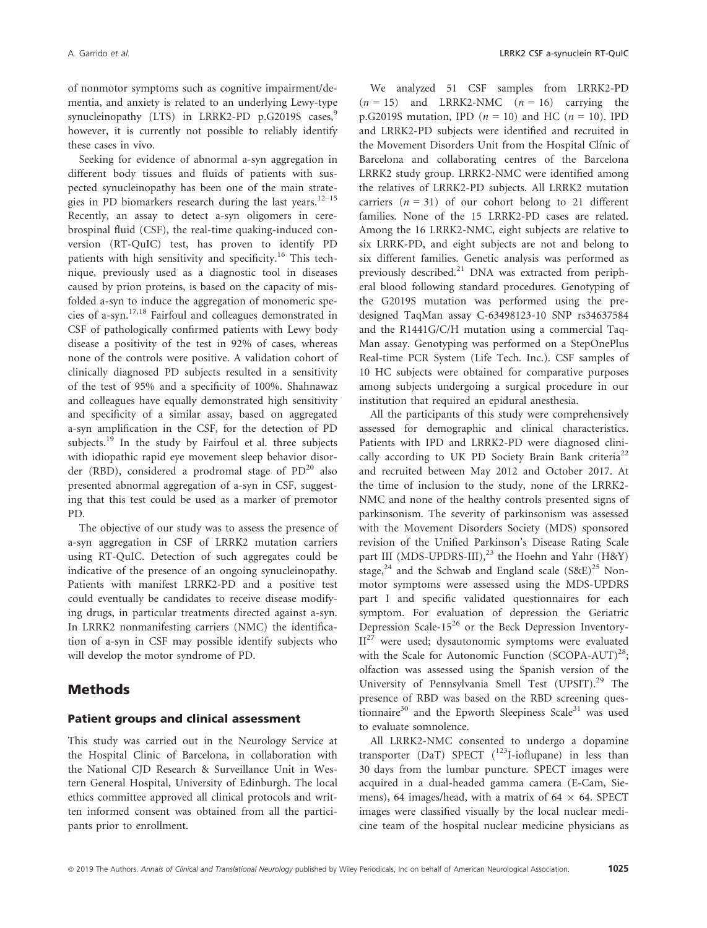of nonmotor symptoms such as cognitive impairment/dementia, and anxiety is related to an underlying Lewy-type synucleinopathy (LTS) in LRRK2-PD p.G2019S cases,<sup>9</sup> however, it is currently not possible to reliably identify these cases in vivo.

Seeking for evidence of abnormal a-syn aggregation in different body tissues and fluids of patients with suspected synucleinopathy has been one of the main strategies in PD biomarkers research during the last years.<sup>12–15</sup> Recently, an assay to detect a-syn oligomers in cerebrospinal fluid (CSF), the real-time quaking-induced conversion (RT-QuIC) test, has proven to identify PD patients with high sensitivity and specificity.<sup>16</sup> This technique, previously used as a diagnostic tool in diseases caused by prion proteins, is based on the capacity of misfolded a-syn to induce the aggregation of monomeric species of a-syn.17,18 Fairfoul and colleagues demonstrated in CSF of pathologically confirmed patients with Lewy body disease a positivity of the test in 92% of cases, whereas none of the controls were positive. A validation cohort of clinically diagnosed PD subjects resulted in a sensitivity of the test of 95% and a specificity of 100%. Shahnawaz and colleagues have equally demonstrated high sensitivity and specificity of a similar assay, based on aggregated a-syn amplification in the CSF, for the detection of PD subjects.<sup>19</sup> In the study by Fairfoul et al. three subjects with idiopathic rapid eye movement sleep behavior disorder (RBD), considered a prodromal stage of  $PD^{20}$  also presented abnormal aggregation of a-syn in CSF, suggesting that this test could be used as a marker of premotor PD.

The objective of our study was to assess the presence of a-syn aggregation in CSF of LRRK2 mutation carriers using RT-QuIC. Detection of such aggregates could be indicative of the presence of an ongoing synucleinopathy. Patients with manifest LRRK2-PD and a positive test could eventually be candidates to receive disease modifying drugs, in particular treatments directed against a-syn. In LRRK2 nonmanifesting carriers (NMC) the identification of a-syn in CSF may possible identify subjects who will develop the motor syndrome of PD.

## Methods

#### Patient groups and clinical assessment

This study was carried out in the Neurology Service at the Hospital Clinic of Barcelona, in collaboration with the National CJD Research & Surveillance Unit in Western General Hospital, University of Edinburgh. The local ethics committee approved all clinical protocols and written informed consent was obtained from all the participants prior to enrollment.

We analyzed 51 CSF samples from LRRK2-PD  $(n = 15)$  and LRRK2-NMC  $(n = 16)$  carrying the p.G2019S mutation, IPD ( $n = 10$ ) and HC ( $n = 10$ ). IPD and LRRK2-PD subjects were identified and recruited in the Movement Disorders Unit from the Hospital Clínic of Barcelona and collaborating centres of the Barcelona LRRK2 study group. LRRK2-NMC were identified among the relatives of LRRK2-PD subjects. All LRRK2 mutation carriers  $(n = 31)$  of our cohort belong to 21 different families. None of the 15 LRRK2-PD cases are related. Among the 16 LRRK2-NMC, eight subjects are relative to six LRRK-PD, and eight subjects are not and belong to six different families. Genetic analysis was performed as previously described.<sup>21</sup> DNA was extracted from peripheral blood following standard procedures. Genotyping of the G2019S mutation was performed using the predesigned TaqMan assay C-63498123-10 SNP rs34637584 and the R1441G/C/H mutation using a commercial Taq-Man assay. Genotyping was performed on a StepOnePlus Real-time PCR System (Life Tech. Inc.). CSF samples of 10 HC subjects were obtained for comparative purposes among subjects undergoing a surgical procedure in our institution that required an epidural anesthesia.

All the participants of this study were comprehensively assessed for demographic and clinical characteristics. Patients with IPD and LRRK2-PD were diagnosed clinically according to UK PD Society Brain Bank criteria<sup>22</sup> and recruited between May 2012 and October 2017. At the time of inclusion to the study, none of the LRRK2- NMC and none of the healthy controls presented signs of parkinsonism. The severity of parkinsonism was assessed with the Movement Disorders Society (MDS) sponsored revision of the Unified Parkinson's Disease Rating Scale part III (MDS-UPDRS-III),<sup>23</sup> the Hoehn and Yahr (H&Y) stage,<sup>24</sup> and the Schwab and England scale  $(S\&E)^{25}$  Nonmotor symptoms were assessed using the MDS-UPDRS part I and specific validated questionnaires for each symptom. For evaluation of depression the Geriatric Depression Scale-15<sup>26</sup> or the Beck Depression Inventory- $II<sup>27</sup>$  were used; dysautonomic symptoms were evaluated with the Scale for Autonomic Function  $(SCOPA-AUT)^{28}$ ; olfaction was assessed using the Spanish version of the University of Pennsylvania Smell Test (UPSIT).<sup>29</sup> The presence of RBD was based on the RBD screening questionnaire $30$  and the Epworth Sleepiness Scale $31$  was used to evaluate somnolence.

All LRRK2-NMC consented to undergo a dopamine transporter (DaT) SPECT  $(^{123}$ I-ioflupane) in less than 30 days from the lumbar puncture. SPECT images were acquired in a dual-headed gamma camera (E-Cam, Siemens), 64 images/head, with a matrix of 64  $\times$  64. SPECT images were classified visually by the local nuclear medicine team of the hospital nuclear medicine physicians as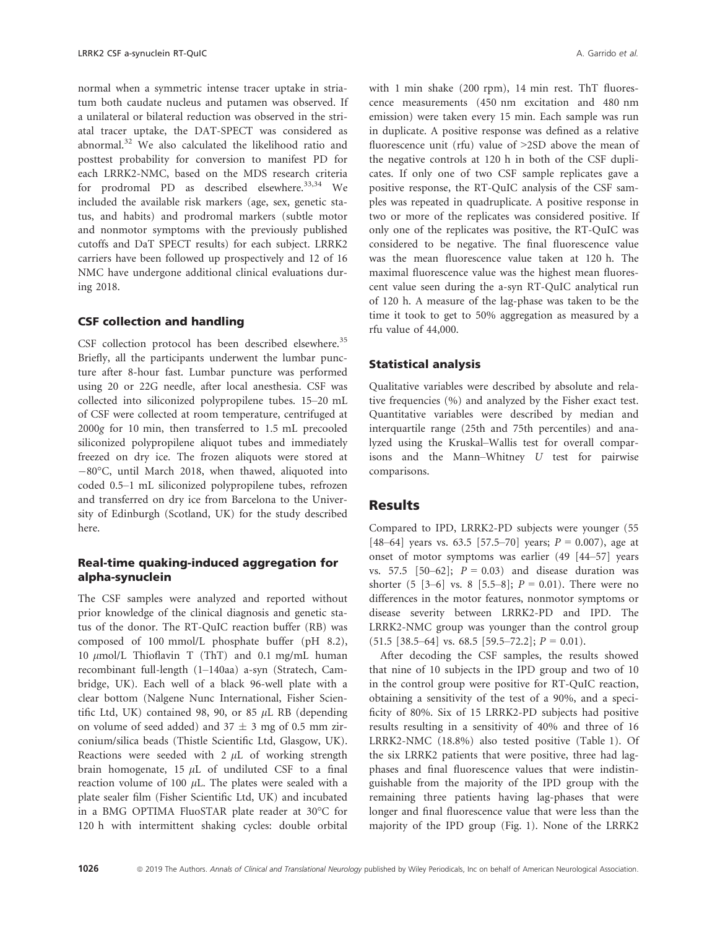normal when a symmetric intense tracer uptake in striatum both caudate nucleus and putamen was observed. If a unilateral or bilateral reduction was observed in the striatal tracer uptake, the DAT-SPECT was considered as abnormal.<sup>32</sup> We also calculated the likelihood ratio and posttest probability for conversion to manifest PD for each LRRK2-NMC, based on the MDS research criteria for prodromal PD as described elsewhere. $33,34$  We included the available risk markers (age, sex, genetic status, and habits) and prodromal markers (subtle motor and nonmotor symptoms with the previously published cutoffs and DaT SPECT results) for each subject. LRRK2 carriers have been followed up prospectively and 12 of 16 NMC have undergone additional clinical evaluations during 2018.

## CSF collection and handling

CSF collection protocol has been described elsewhere.<sup>35</sup> Briefly, all the participants underwent the lumbar puncture after 8-hour fast. Lumbar puncture was performed using 20 or 22G needle, after local anesthesia. CSF was collected into siliconized polypropilene tubes. 15–20 mL of CSF were collected at room temperature, centrifuged at <sup>2000</sup>g for 10 min, then transferred to 1.5 mL precooled siliconized polypropilene aliquot tubes and immediately freezed on dry ice. The frozen aliquots were stored at 80°C, until March 2018, when thawed, aliquoted into coded 0.5–1 mL siliconized polypropilene tubes, refrozen and transferred on dry ice from Barcelona to the University of Edinburgh (Scotland, UK) for the study described here.

## Real-time quaking-induced aggregation for alpha-synuclein

The CSF samples were analyzed and reported without prior knowledge of the clinical diagnosis and genetic status of the donor. The RT-QuIC reaction buffer (RB) was composed of 100 mmol/L phosphate buffer (pH 8.2), 10  $\mu$ mol/L Thioflavin T (ThT) and 0.1 mg/mL human recombinant full-length (1–140aa) a-syn (Stratech, Cambridge, UK). Each well of a black 96-well plate with a clear bottom (Nalgene Nunc International, Fisher Scientific Ltd, UK) contained 98, 90, or 85  $\mu$ L RB (depending on volume of seed added) and  $37 \pm 3$  mg of 0.5 mm zirconium/silica beads (Thistle Scientific Ltd, Glasgow, UK). Reactions were seeded with  $2 \mu L$  of working strength brain homogenate,  $15 \mu L$  of undiluted CSF to a final reaction volume of 100  $\mu$ L. The plates were sealed with a plate sealer film (Fisher Scientific Ltd, UK) and incubated in a BMG OPTIMA FluoSTAR plate reader at 30°C for 120 h with intermittent shaking cycles: double orbital with 1 min shake (200 rpm), 14 min rest. ThT fluorescence measurements (450 nm excitation and 480 nm emission) were taken every 15 min. Each sample was run in duplicate. A positive response was defined as a relative fluorescence unit (rfu) value of >2SD above the mean of the negative controls at 120 h in both of the CSF duplicates. If only one of two CSF sample replicates gave a positive response, the RT-QuIC analysis of the CSF samples was repeated in quadruplicate. A positive response in two or more of the replicates was considered positive. If only one of the replicates was positive, the RT-QuIC was considered to be negative. The final fluorescence value was the mean fluorescence value taken at 120 h. The maximal fluorescence value was the highest mean fluorescent value seen during the a-syn RT-QuIC analytical run of 120 h. A measure of the lag-phase was taken to be the time it took to get to 50% aggregation as measured by a rfu value of 44,000.

## Statistical analysis

Qualitative variables were described by absolute and relative frequencies (%) and analyzed by the Fisher exact test. Quantitative variables were described by median and interquartile range (25th and 75th percentiles) and analyzed using the Kruskal–Wallis test for overall comparisons and the Mann–Whitney U test for pairwise comparisons.

## **Results**

Compared to IPD, LRRK2-PD subjects were younger (55 [48–64] years vs. 63.5 [57.5–70] years;  $P = 0.007$ ), age at onset of motor symptoms was earlier (49 [44–57] years vs. 57.5 [50–62];  $P = 0.03$ ) and disease duration was shorter  $(5 [3-6]$  vs. 8  $[5.5-8]$ ;  $P = 0.01$ ). There were no differences in the motor features, nonmotor symptoms or disease severity between LRRK2-PD and IPD. The LRRK2-NMC group was younger than the control group  $(51.5 \ [38.5-64] \ \text{vs.} \ 68.5 \ [59.5-72.2]; P = 0.01).$ 

After decoding the CSF samples, the results showed that nine of 10 subjects in the IPD group and two of 10 in the control group were positive for RT-QuIC reaction, obtaining a sensitivity of the test of a 90%, and a specificity of 80%. Six of 15 LRRK2-PD subjects had positive results resulting in a sensitivity of 40% and three of 16 LRRK2-NMC (18.8%) also tested positive (Table 1). Of the six LRRK2 patients that were positive, three had lagphases and final fluorescence values that were indistinguishable from the majority of the IPD group with the remaining three patients having lag-phases that were longer and final fluorescence value that were less than the majority of the IPD group (Fig. 1). None of the LRRK2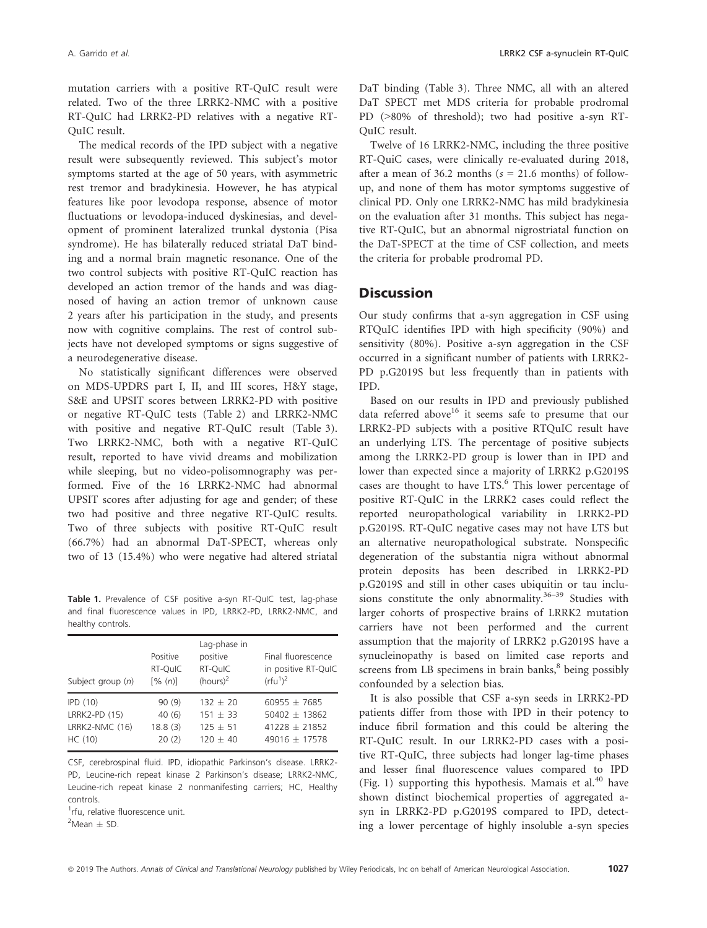mutation carriers with a positive RT-QuIC result were related. Two of the three LRRK2-NMC with a positive RT-QuIC had LRRK2-PD relatives with a negative RT-QuIC result.

The medical records of the IPD subject with a negative result were subsequently reviewed. This subject's motor symptoms started at the age of 50 years, with asymmetric rest tremor and bradykinesia. However, he has atypical features like poor levodopa response, absence of motor fluctuations or levodopa-induced dyskinesias, and development of prominent lateralized trunkal dystonia (Pisa syndrome). He has bilaterally reduced striatal DaT binding and a normal brain magnetic resonance. One of the two control subjects with positive RT-QuIC reaction has developed an action tremor of the hands and was diagnosed of having an action tremor of unknown cause 2 years after his participation in the study, and presents now with cognitive complains. The rest of control subjects have not developed symptoms or signs suggestive of a neurodegenerative disease.

No statistically significant differences were observed on MDS-UPDRS part I, II, and III scores, H&Y stage, S&E and UPSIT scores between LRRK2-PD with positive or negative RT-QuIC tests (Table 2) and LRRK2-NMC with positive and negative RT-QuIC result (Table 3). Two LRRK2-NMC, both with a negative RT-QuIC result, reported to have vivid dreams and mobilization while sleeping, but no video-polisomnography was performed. Five of the 16 LRRK2-NMC had abnormal UPSIT scores after adjusting for age and gender; of these two had positive and three negative RT-QuIC results. Two of three subjects with positive RT-QuIC result (66.7%) had an abnormal DaT-SPECT, whereas only two of 13 (15.4%) who were negative had altered striatal

Table 1. Prevalence of CSF positive a-syn RT-QuIC test, lag-phase and final fluorescence values in IPD, LRRK2-PD, LRRK2-NMC, and healthy controls.

| Subject group $(n)$                                   | Positive<br>RT-QuIC<br>[% (n)]     | Lag-phase in<br>positive<br>RT-QuIC<br>$(hours)^2$   | Final fluorescence<br>in positive RT-QuIC<br>(rfu <sup>1</sup> ) <sup>2</sup> |  |  |  |  |
|-------------------------------------------------------|------------------------------------|------------------------------------------------------|-------------------------------------------------------------------------------|--|--|--|--|
| IPD(10)<br>LRRK2-PD (15)<br>LRRK2-NMC (16)<br>HC (10) | 90(9)<br>40(6)<br>18.8(3)<br>20(2) | $132 + 20$<br>$151 + 33$<br>$125 + 51$<br>$120 + 40$ | $60955 + 7685$<br>$50402 + 13862$<br>$41228 + 21852$<br>$49016 + 17578$       |  |  |  |  |

CSF, cerebrospinal fluid. IPD, idiopathic Parkinson's disease. LRRK2- PD, Leucine-rich repeat kinase 2 Parkinson's disease; LRRK2-NMC, Leucine-rich repeat kinase 2 nonmanifesting carriers; HC, Healthy controls.

<sup>1</sup>rfu, relative fluorescence unit.

 ${}^{2}$ Mean  $\pm$  SD.

DaT binding (Table 3). Three NMC, all with an altered DaT SPECT met MDS criteria for probable prodromal PD (>80% of threshold); two had positive a-syn RT-QuIC result.

Twelve of 16 LRRK2-NMC, including the three positive RT-QuiC cases, were clinically re-evaluated during 2018, after a mean of 36.2 months ( $s = 21.6$  months) of followup, and none of them has motor symptoms suggestive of clinical PD. Only one LRRK2-NMC has mild bradykinesia on the evaluation after 31 months. This subject has negative RT-QuIC, but an abnormal nigrostriatal function on the DaT-SPECT at the time of CSF collection, and meets the criteria for probable prodromal PD.

## **Discussion**

Our study confirms that a-syn aggregation in CSF using RTQuIC identifies IPD with high specificity (90%) and sensitivity (80%). Positive a-syn aggregation in the CSF occurred in a significant number of patients with LRRK2- PD p.G2019S but less frequently than in patients with IPD.

Based on our results in IPD and previously published data referred above<sup>16</sup> it seems safe to presume that our LRRK2-PD subjects with a positive RTQuIC result have an underlying LTS. The percentage of positive subjects among the LRRK2-PD group is lower than in IPD and lower than expected since a majority of LRRK2 p.G2019S cases are thought to have LTS.<sup>6</sup> This lower percentage of positive RT-QuIC in the LRRK2 cases could reflect the reported neuropathological variability in LRRK2-PD p.G2019S. RT-QuIC negative cases may not have LTS but an alternative neuropathological substrate. Nonspecific degeneration of the substantia nigra without abnormal protein deposits has been described in LRRK2-PD p.G2019S and still in other cases ubiquitin or tau inclusions constitute the only abnormality. $36-39$  Studies with larger cohorts of prospective brains of LRRK2 mutation carriers have not been performed and the current assumption that the majority of LRRK2 p.G2019S have a synucleinopathy is based on limited case reports and screens from LB specimens in brain banks, $8$  being possibly confounded by a selection bias.

It is also possible that CSF a-syn seeds in LRRK2-PD patients differ from those with IPD in their potency to induce fibril formation and this could be altering the RT-QuIC result. In our LRRK2-PD cases with a positive RT-QuIC, three subjects had longer lag-time phases and lesser final fluorescence values compared to IPD (Fig. 1) supporting this hypothesis. Mamais et al.<sup>40</sup> have shown distinct biochemical properties of aggregated asyn in LRRK2-PD p.G2019S compared to IPD, detecting a lower percentage of highly insoluble a-syn species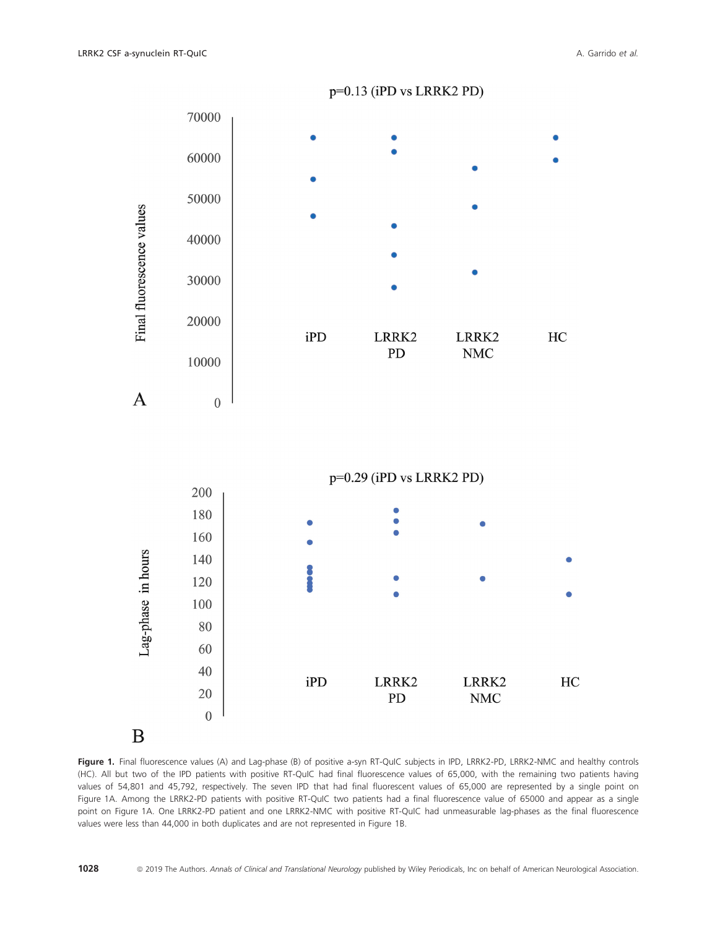

B

Figure 1. Final fluorescence values (A) and Lag-phase (B) of positive a-syn RT-QuIC subjects in IPD, LRRK2-PD, LRRK2-NMC and healthy controls (HC). All but two of the IPD patients with positive RT-QuIC had final fluorescence values of 65,000, with the remaining two patients having values of 54,801 and 45,792, respectively. The seven IPD that had final fluorescent values of 65,000 are represented by a single point on Figure 1A. Among the LRRK2-PD patients with positive RT-QuIC two patients had a final fluorescence value of 65000 and appear as a single point on Figure 1A. One LRRK2-PD patient and one LRRK2-NMC with positive RT-QuIC had unmeasurable lag-phases as the final fluorescence values were less than 44,000 in both duplicates and are not represented in Figure 1B.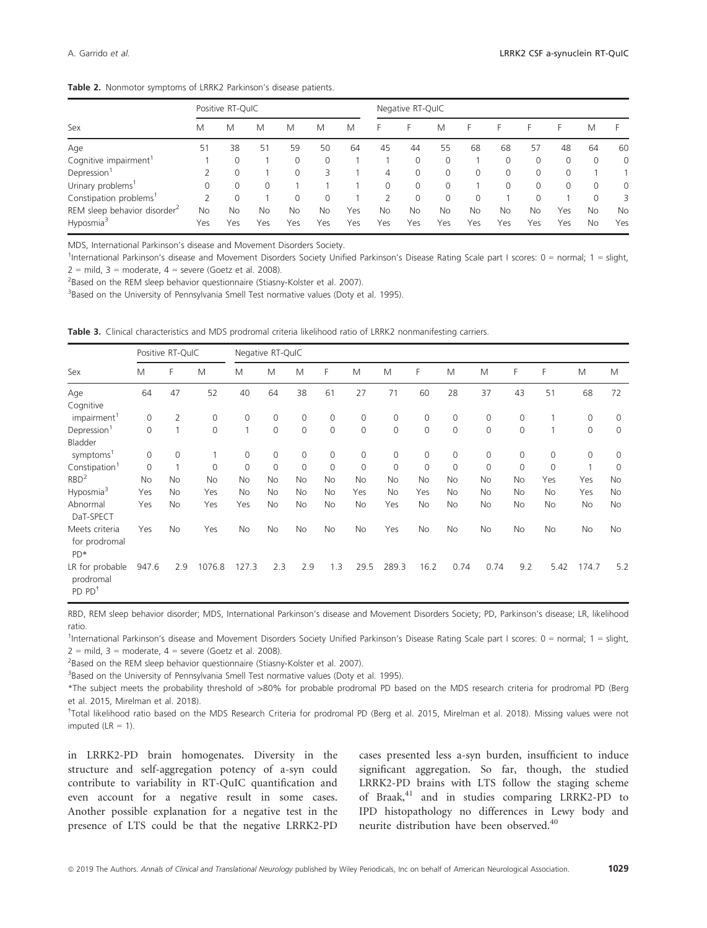| Table 2. Nonmotor symptoms of LRRK2 Parkinson's disease patients. |  |
|-------------------------------------------------------------------|--|
|-------------------------------------------------------------------|--|

| Sex                                      | Positive RT-QuIC |           |          |          |     |     |          | Negative RT-QuIC |           |           |           |          |          |           |             |  |
|------------------------------------------|------------------|-----------|----------|----------|-----|-----|----------|------------------|-----------|-----------|-----------|----------|----------|-----------|-------------|--|
|                                          | M                | M         | M        | M        | M   | M   | F        | F                | M         | F         | н         | F        | F.       | M         |             |  |
| Age                                      | 51               | 38        | 51       | 59       | 50  | 64  | 45       | 44               | 55        | 68        | 68        | 57       | 48       | 64        | 60          |  |
| Cognitive impairment                     |                  | 0         |          | 0        | 0   |     |          | 0                | 0         |           | 0         | 0        | 0        | 0         | $\mathbf 0$ |  |
| Depression <sup>1</sup>                  |                  | 0         |          | $\Omega$ | 3   |     | 4        | 0                | $\Omega$  | 0         | $\Omega$  | $\Omega$ | $\Omega$ |           |             |  |
| Urinary problems <sup>1</sup>            |                  | 0         | $\Omega$ |          |     |     | $\Omega$ | 0                | $\Omega$  |           | 0         | $\Omega$ | $\Omega$ | 0         | $\mathbf 0$ |  |
| Constipation problems <sup>1</sup>       | $\mathcal{P}$    |           |          | $\Omega$ | 0   |     |          | 0                | 0         | $\Omega$  |           | 0        |          | 0         | 3           |  |
| REM sleep behavior disorder <sup>2</sup> | No               | <b>No</b> | No       | No       | No  | Yes | No       | <b>No</b>        | <b>No</b> | <b>No</b> | <b>No</b> | No       | Yes      | <b>No</b> | <b>No</b>   |  |
| Hyposmia <sup>3</sup>                    | Yes              | Yes       | Yes      | Yes      | Yes | Yes | Yes      | Yes              | Yes       | Yes       | Yes       | Yes      | Yes      | <b>No</b> | Yes         |  |

MDS, International Parkinson's disease and Movement Disorders Society.

1 International Parkinson's disease and Movement Disorders Society Unified Parkinson's Disease Rating Scale part I scores: 0 = normal; 1 = slight,  $2 = \text{mild } 3 = \text{moderate}$ ,  $4 = \text{severe}$  (Goetz et al. 2008).

<sup>2</sup>Based on the REM sleep behavior questionnaire (Stiasny-Kolster et al. 2007).

<sup>3</sup>Based on the University of Pennsylvania Smell Test normative values (Doty et al. 1995).

Table 3. Clinical characteristics and MDS prodromal criteria likelihood ratio of LRRK2 nonmanifesting carriers.

| Sex                                                                       | Positive RT-QuIC |           |             | Negative RT-QuIC |          |     |                |           |                |                |           |                |                |              |                     |             |
|---------------------------------------------------------------------------|------------------|-----------|-------------|------------------|----------|-----|----------------|-----------|----------------|----------------|-----------|----------------|----------------|--------------|---------------------|-------------|
|                                                                           | M                | F         | M           | M                | M        | M   | F              | M         | M              | F              | M         | M              | F              | F            | M                   | M           |
| Age                                                                       | 64               | 47        | 52          | 40               | 64       | 38  | 61             | 27        | 71             | 60             | 28        | 37             | 43             | 51           | 68                  | 72          |
| Cognitive                                                                 |                  |           |             |                  |          |     |                |           |                |                |           |                |                |              |                     |             |
| impairment <sup>1</sup>                                                   | 0                | 2         | $\mathbf 0$ | 0                | 0        | 0   | 0              | 0         | 0              | 0              | 0         | 0              | $\mathbf 0$    |              | $\mathbf{0}$        | $\mathbf 0$ |
| Depression <sup>1</sup>                                                   | $\overline{0}$   | 1         | $\Omega$    | 1                | $\Omega$ | 0   | $\Omega$       | 0         | $\overline{0}$ | $\circ$        | $\Omega$  | $\overline{0}$ | $\overline{0}$ | $\mathbf{1}$ | $\overline{0}$      | $\Omega$    |
| Bladder                                                                   |                  |           |             |                  |          |     |                |           |                |                |           |                |                |              |                     |             |
| symptoms <sup>1</sup>                                                     | 0                | 0         |             | 0                | 0        | 0   | $\overline{0}$ | 0         | 0              | 0              | 0         | $\mathbf 0$    | 0              | $\mathbf 0$  | $\mathsf{O}\xspace$ | $\mathbf 0$ |
| Constipation <sup>1</sup>                                                 | 0                | 1         | $\Omega$    | 0                | $\Omega$ | 0   | $\mathbf 0$    | 0         | $\mathbf 0$    | $\overline{0}$ | $\Omega$  | $\overline{0}$ | $\mathbf 0$    | $\Omega$     | 1                   | $\Omega$    |
| RBD <sup>2</sup>                                                          | No               | No        | No          | No               | No       | No  | <b>No</b>      | No        | No             | <b>No</b>      | No        | No             | No             | Yes          | Yes                 | No          |
| Hyposmia <sup>3</sup>                                                     | Yes              | No        | Yes         | No               | No       | No  | <b>No</b>      | Yes       | No             | Yes            | <b>No</b> | No             | No             | No           | Yes                 | No          |
| Abnormal<br>DaT-SPECT                                                     | Yes              | <b>No</b> | Yes         | Yes              | No       | No  | <b>No</b>      | No.       | Yes            | <b>No</b>      | <b>No</b> | No             | <b>No</b>      | No           | No                  | <b>No</b>   |
| Meets criteria<br>for prodromal<br>PD*                                    | Yes              | <b>No</b> | Yes         | No               | No       | No  | <b>No</b>      | <b>No</b> | Yes            | <b>No</b>      | No        | No             | No             | No           | No                  | No          |
| LR for probable<br>prodromal<br>$PD$ $PD$ <sup><math>\dagger</math></sup> | 947.6            | 2.9       | 1076.8      | 127.3            | 2.3      | 2.9 | 1.3            | 29.5      | 289.3          | 16.2           | 0.74      | 0.74           | 9.2            | 5.42         | 174.7               | 5.2         |

RBD, REM sleep behavior disorder; MDS, International Parkinson's disease and Movement Disorders Society; PD, Parkinson's disease; LR, likelihood ratio.

<sup>1</sup>International Parkinson's disease and Movement Disorders Society Unified Parkinson's Disease Rating Scale part I scores: 0 = normal; 1 = slight,  $2 =$  mild,  $3 =$  moderate,  $4 =$  severe (Goetz et al. 2008).

<sup>2</sup>Based on the REM sleep behavior questionnaire (Stiasny-Kolster et al. 2007).

<sup>3</sup>Based on the University of Pennsylvania Smell Test normative values (Doty et al. 1995).

\*The subject meets the probability threshold of >80% for probable prodromal PD based on the MDS research criteria for prodromal PD (Berg et al. 2015, Mirelman et al. 2018).

† Total likelihood ratio based on the MDS Research Criteria for prodromal PD (Berg et al. 2015, Mirelman et al. 2018). Missing values were not imputed  $(LR = 1)$ .

in LRRK2-PD brain homogenates. Diversity in the structure and self-aggregation potency of a-syn could contribute to variability in RT-QuIC quantification and even account for a negative result in some cases. Another possible explanation for a negative test in the presence of LTS could be that the negative LRRK2-PD

cases presented less a-syn burden, insufficient to induce significant aggregation. So far, though, the studied LRRK2-PD brains with LTS follow the staging scheme of Braak,<sup>41</sup> and in studies comparing LRRK2-PD to IPD histopathology no differences in Lewy body and neurite distribution have been observed.<sup>40</sup>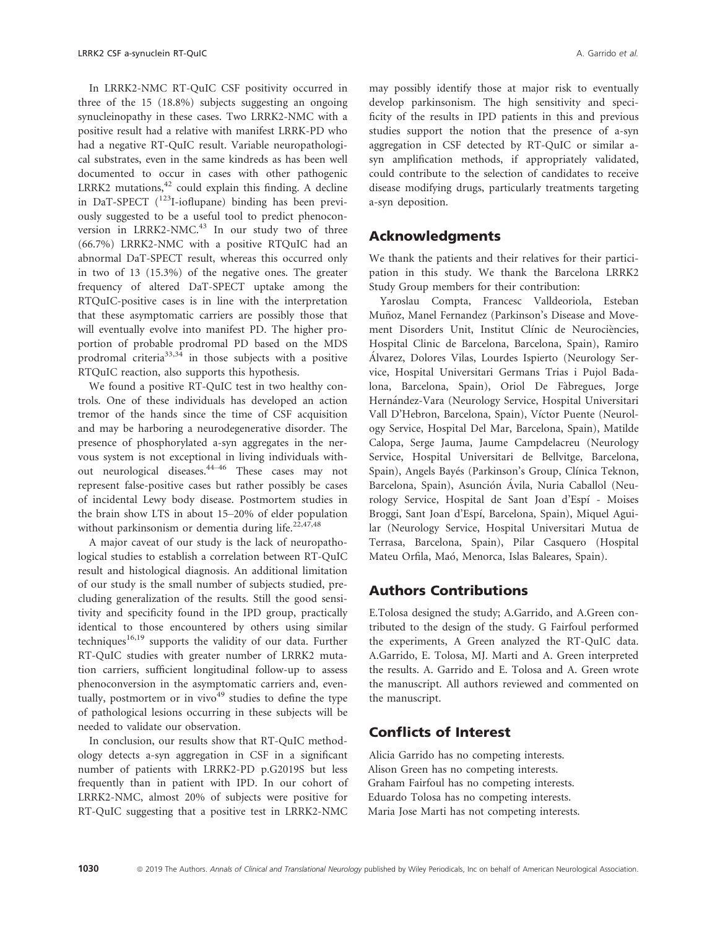In LRRK2-NMC RT-QuIC CSF positivity occurred in three of the 15 (18.8%) subjects suggesting an ongoing synucleinopathy in these cases. Two LRRK2-NMC with a positive result had a relative with manifest LRRK-PD who had a negative RT-QuIC result. Variable neuropathological substrates, even in the same kindreds as has been well documented to occur in cases with other pathogenic LRRK2 mutations, $42$  could explain this finding. A decline in DaT-SPECT  $(^{123}I$ -ioflupane) binding has been previously suggested to be a useful tool to predict phenoconversion in LRRK2-NMC.<sup>43</sup> In our study two of three (66.7%) LRRK2-NMC with a positive RTQuIC had an abnormal DaT-SPECT result, whereas this occurred only in two of 13 (15.3%) of the negative ones. The greater frequency of altered DaT-SPECT uptake among the RTQuIC-positive cases is in line with the interpretation that these asymptomatic carriers are possibly those that will eventually evolve into manifest PD. The higher proportion of probable prodromal PD based on the MDS prodromal criteria<sup>33,34</sup> in those subjects with a positive RTQuIC reaction, also supports this hypothesis.

We found a positive RT-QuIC test in two healthy controls. One of these individuals has developed an action tremor of the hands since the time of CSF acquisition and may be harboring a neurodegenerative disorder. The presence of phosphorylated a-syn aggregates in the nervous system is not exceptional in living individuals without neurological diseases.<sup>44–46</sup> These cases may not represent false-positive cases but rather possibly be cases of incidental Lewy body disease. Postmortem studies in the brain show LTS in about 15–20% of elder population without parkinsonism or dementia during life.<sup>22,47,48</sup>

A major caveat of our study is the lack of neuropathological studies to establish a correlation between RT-QuIC result and histological diagnosis. An additional limitation of our study is the small number of subjects studied, precluding generalization of the results. Still the good sensitivity and specificity found in the IPD group, practically identical to those encountered by others using similar  $techniques^{16,19}$  supports the validity of our data. Further RT-QuIC studies with greater number of LRRK2 mutation carriers, sufficient longitudinal follow-up to assess phenoconversion in the asymptomatic carriers and, eventually, postmortem or in vivo $49$  studies to define the type of pathological lesions occurring in these subjects will be needed to validate our observation.

In conclusion, our results show that RT-QuIC methodology detects a-syn aggregation in CSF in a significant number of patients with LRRK2-PD p.G2019S but less frequently than in patient with IPD. In our cohort of LRRK2-NMC, almost 20% of subjects were positive for RT-QuIC suggesting that a positive test in LRRK2-NMC may possibly identify those at major risk to eventually develop parkinsonism. The high sensitivity and specificity of the results in IPD patients in this and previous studies support the notion that the presence of a-syn aggregation in CSF detected by RT-QuIC or similar asyn amplification methods, if appropriately validated, could contribute to the selection of candidates to receive disease modifying drugs, particularly treatments targeting a-syn deposition.

# Acknowledgments

We thank the patients and their relatives for their participation in this study. We thank the Barcelona LRRK2 Study Group members for their contribution:

Yaroslau Compta, Francesc Valldeoriola, Esteban Muñoz, Manel Fernandez (Parkinson's Disease and Movement Disorders Unit, Institut Clínic de Neurociències, Hospital Clinic de Barcelona, Barcelona, Spain), Ramiro Alvarez, Dolores Vilas, Lourdes Ispierto (Neurology Ser vice, Hospital Universitari Germans Trias i Pujol Badalona, Barcelona, Spain), Oriol De Fabregues, Jorge Hernández-Vara (Neurology Service, Hospital Universitari Vall D'Hebron, Barcelona, Spain), Vıctor Puente (Neurology Service, Hospital Del Mar, Barcelona, Spain), Matilde Calopa, Serge Jauma, Jaume Campdelacreu (Neurology Service, Hospital Universitari de Bellvitge, Barcelona, Spain), Angels Bayés (Parkinson's Group, Clínica Teknon, Barcelona, Spain), Asunción Ávila, Nuria Caballol (Neurology Service, Hospital de Sant Joan d'Espí - Moises Broggi, Sant Joan d'Espí, Barcelona, Spain), Miquel Aguilar (Neurology Service, Hospital Universitari Mutua de Terrasa, Barcelona, Spain), Pilar Casquero (Hospital Mateu Orfila, Maó, Menorca, Islas Baleares, Spain).

# Authors Contributions

E.Tolosa designed the study; A.Garrido, and A.Green contributed to the design of the study. G Fairfoul performed the experiments, A Green analyzed the RT-QuIC data. A.Garrido, E. Tolosa, MJ. Marti and A. Green interpreted the results. A. Garrido and E. Tolosa and A. Green wrote the manuscript. All authors reviewed and commented on the manuscript.

# Conflicts of Interest

Alicia Garrido has no competing interests. Alison Green has no competing interests. Graham Fairfoul has no competing interests. Eduardo Tolosa has no competing interests. Maria Jose Marti has not competing interests.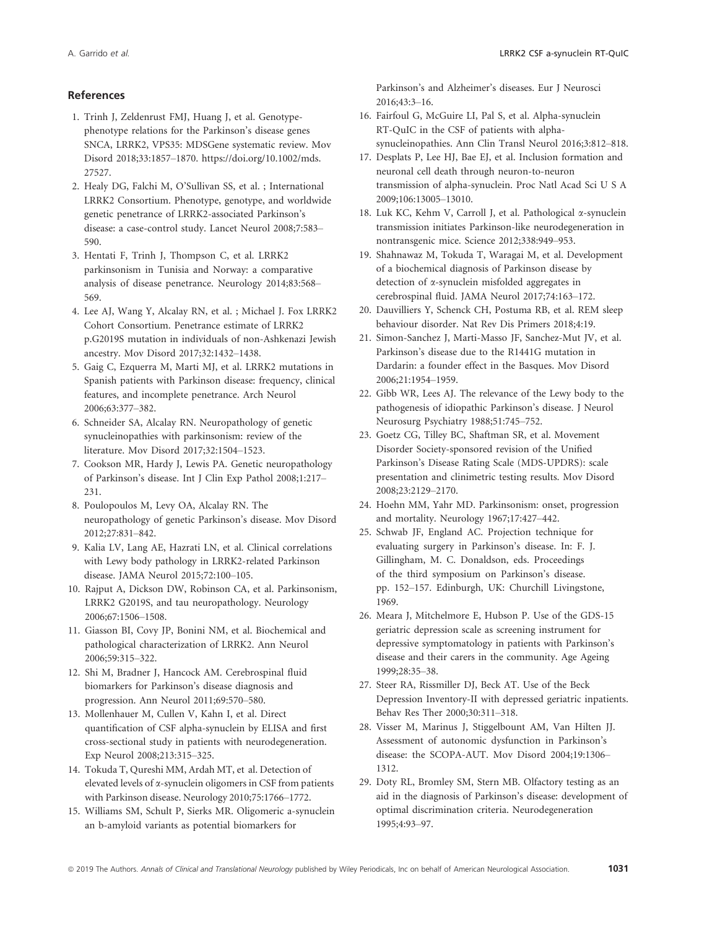#### **References**

- 1. Trinh J, Zeldenrust FMJ, Huang J, et al. Genotypephenotype relations for the Parkinson's disease genes SNCA, LRRK2, VPS35: MDSGene systematic review. Mov Disord 2018;33:1857–1870. [https://doi.org/10.1002/mds.](https://doi.org/10.1002/mds.27527) [27527.](https://doi.org/10.1002/mds.27527)
- 2. Healy DG, Falchi M, O'Sullivan SS, et al. ; International LRRK2 Consortium. Phenotype, genotype, and worldwide genetic penetrance of LRRK2-associated Parkinson's disease: a case-control study. Lancet Neurol 2008;7:583– 590.
- 3. Hentati F, Trinh J, Thompson C, et al. LRRK2 parkinsonism in Tunisia and Norway: a comparative analysis of disease penetrance. Neurology 2014;83:568– 569.
- 4. Lee AJ, Wang Y, Alcalay RN, et al. ; Michael J. Fox LRRK2 Cohort Consortium. Penetrance estimate of LRRK2 p.G2019S mutation in individuals of non-Ashkenazi Jewish ancestry. Mov Disord 2017;32:1432–1438.
- 5. Gaig C, Ezquerra M, Marti MJ, et al. LRRK2 mutations in Spanish patients with Parkinson disease: frequency, clinical features, and incomplete penetrance. Arch Neurol 2006;63:377–382.
- 6. Schneider SA, Alcalay RN. Neuropathology of genetic synucleinopathies with parkinsonism: review of the literature. Mov Disord 2017;32:1504–1523.
- 7. Cookson MR, Hardy J, Lewis PA. Genetic neuropathology of Parkinson's disease. Int J Clin Exp Pathol 2008;1:217– 231.
- 8. Poulopoulos M, Levy OA, Alcalay RN. The neuropathology of genetic Parkinson's disease. Mov Disord 2012;27:831–842.
- 9. Kalia LV, Lang AE, Hazrati LN, et al. Clinical correlations with Lewy body pathology in LRRK2-related Parkinson disease. JAMA Neurol 2015;72:100–105.
- 10. Rajput A, Dickson DW, Robinson CA, et al. Parkinsonism, LRRK2 G2019S, and tau neuropathology. Neurology 2006;67:1506–1508.
- 11. Giasson BI, Covy JP, Bonini NM, et al. Biochemical and pathological characterization of LRRK2. Ann Neurol 2006;59:315–322.
- 12. Shi M, Bradner J, Hancock AM. Cerebrospinal fluid biomarkers for Parkinson's disease diagnosis and progression. Ann Neurol 2011;69:570–580.
- 13. Mollenhauer M, Cullen V, Kahn I, et al. Direct quantification of CSF alpha-synuclein by ELISA and first cross-sectional study in patients with neurodegeneration. Exp Neurol 2008;213:315–325.
- 14. Tokuda T, Qureshi MM, Ardah MT, et al. Detection of elevated levels of a-synuclein oligomers in CSF from patients with Parkinson disease. Neurology 2010;75:1766–1772.
- 15. Williams SM, Schult P, Sierks MR. Oligomeric a-synuclein an b-amyloid variants as potential biomarkers for

Parkinson's and Alzheimer's diseases. Eur J Neurosci 2016;43:3–16.

- 16. Fairfoul G, McGuire LI, Pal S, et al. Alpha-synuclein RT-QuIC in the CSF of patients with alphasynucleinopathies. Ann Clin Transl Neurol 2016;3:812–818.
- 17. Desplats P, Lee HJ, Bae EJ, et al. Inclusion formation and neuronal cell death through neuron-to-neuron transmission of alpha-synuclein. Proc Natl Acad Sci U S A 2009;106:13005–13010.
- 18. Luk KC, Kehm V, Carroll J, et al. Pathological  $\alpha$ -synuclein transmission initiates Parkinson-like neurodegeneration in nontransgenic mice. Science 2012;338:949–953.
- 19. Shahnawaz M, Tokuda T, Waragai M, et al. Development of a biochemical diagnosis of Parkinson disease by detection of a-synuclein misfolded aggregates in cerebrospinal fluid. JAMA Neurol 2017;74:163–172.
- 20. Dauvilliers Y, Schenck CH, Postuma RB, et al. REM sleep behaviour disorder. Nat Rev Dis Primers 2018;4:19.
- 21. Simon-Sanchez J, Marti-Masso JF, Sanchez-Mut JV, et al. Parkinson's disease due to the R1441G mutation in Dardarin: a founder effect in the Basques. Mov Disord 2006;21:1954–1959.
- 22. Gibb WR, Lees AJ. The relevance of the Lewy body to the pathogenesis of idiopathic Parkinson's disease. J Neurol Neurosurg Psychiatry 1988;51:745–752.
- 23. Goetz CG, Tilley BC, Shaftman SR, et al. Movement Disorder Society-sponsored revision of the Unified Parkinson's Disease Rating Scale (MDS-UPDRS): scale presentation and clinimetric testing results. Mov Disord 2008;23:2129–2170.
- 24. Hoehn MM, Yahr MD. Parkinsonism: onset, progression and mortality. Neurology 1967;17:427–442.
- 25. Schwab JF, England AC. Projection technique for evaluating surgery in Parkinson's disease. In: F. J. Gillingham, M. C. Donaldson, eds. Proceedings of the third symposium on Parkinson's disease. pp. 152–157. Edinburgh, UK: Churchill Livingstone, 1969.
- 26. Meara J, Mitchelmore E, Hubson P. Use of the GDS-15 geriatric depression scale as screening instrument for depressive symptomatology in patients with Parkinson's disease and their carers in the community. Age Ageing 1999;28:35–38.
- 27. Steer RA, Rissmiller DJ, Beck AT. Use of the Beck Depression Inventory-II with depressed geriatric inpatients. Behav Res Ther 2000;30:311–318.
- 28. Visser M, Marinus J, Stiggelbount AM, Van Hilten JJ. Assessment of autonomic dysfunction in Parkinson's disease: the SCOPA-AUT. Mov Disord 2004;19:1306– 1312.
- 29. Doty RL, Bromley SM, Stern MB. Olfactory testing as an aid in the diagnosis of Parkinson's disease: development of optimal discrimination criteria. Neurodegeneration 1995;4:93–97.